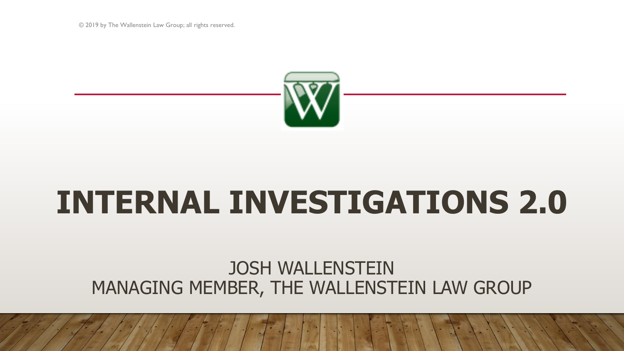© 2019 by The Wallenstein Law Group; all rights reserved.



# **INTERNAL INVESTIGATIONS 2.0**

## JOSH WALLENSTEIN MANAGING MEMBER, THE WALLENSTEIN LAW GROUP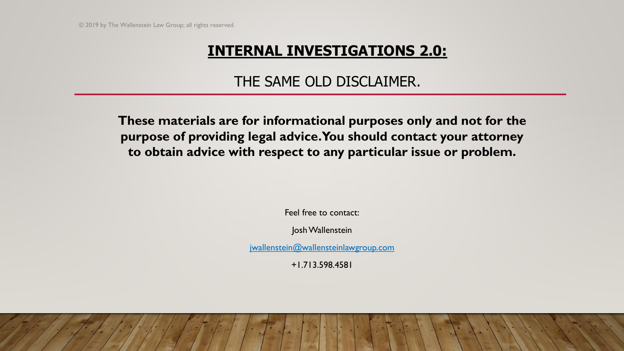### THE SAME OLD DISCLAIMER.

**These materials are for informational purposes only and not for the purpose of providing legal advice. You should contact your attorney to obtain advice with respect to any particular issue or problem.**

Feel free to contact:

Josh Wallenstein

[jwallenstein@wallensteinlawgroup.com](mailto:jwallenstein@wallensteinlawgroup.com)

+1.713.598.4581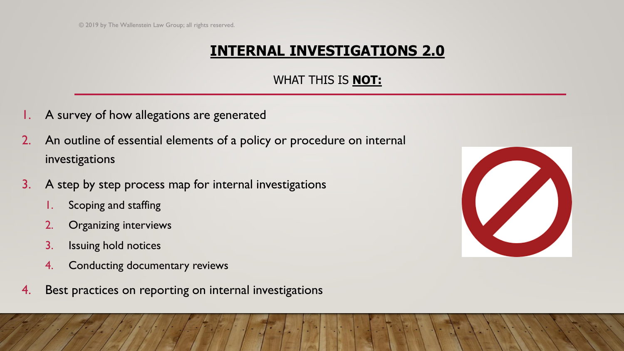#### WHAT THIS IS **NOT:**

- A survey of how allegations are generated
- 2. An outline of essential elements of a policy or procedure on internal investigations
- 3. A step by step process map for internal investigations
	- 1. Scoping and staffing
	- 2. Organizing interviews
	- 3. Issuing hold notices
	- 4. Conducting documentary reviews
- 4. Best practices on reporting on internal investigations

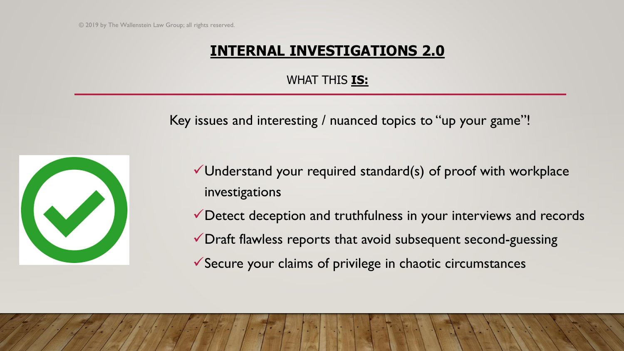#### WHAT THIS **IS:**

Key issues and interesting / nuanced topics to "up your game"!



- $\checkmark$  Understand your required standard(s) of proof with workplace investigations
- ✓Detect deception and truthfulness in your interviews and records
- ✓Draft flawless reports that avoid subsequent second-guessing
- ✓Secure your claims of privilege in chaotic circumstances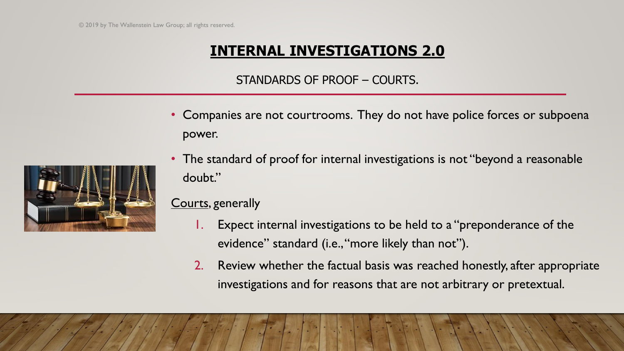#### STANDARDS OF PROOF – COURTS.

- Companies are not courtrooms. They do not have police forces or subpoena power.
- The standard of proof for internal investigations is not "beyond a reasonable doubt."

#### Courts, generally

- 1. Expect internal investigations to be held to a "preponderance of the evidence" standard (i.e., "more likely than not").
- 2. Review whether the factual basis was reached honestly, after appropriate investigations and for reasons that are not arbitrary or pretextual.

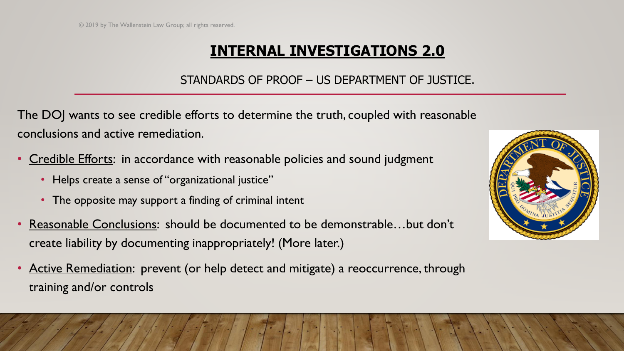#### STANDARDS OF PROOF – US DEPARTMENT OF JUSTICE.

The DOJ wants to see credible efforts to determine the truth, coupled with reasonable conclusions and active remediation.

- Credible Efforts: in accordance with reasonable policies and sound judgment
	- Helps create a sense of "organizational justice"
	- The opposite may support a finding of criminal intent
- Reasonable Conclusions: should be documented to be demonstrable…but don't create liability by documenting inappropriately! (More later.)
- Active Remediation: prevent (or help detect and mitigate) a reoccurrence, through training and/or controls

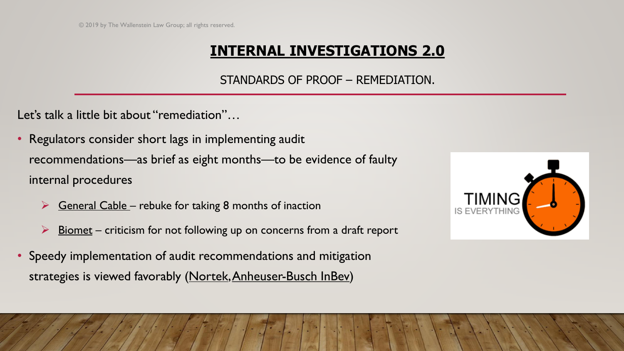#### STANDARDS OF PROOF – REMEDIATION.

Let's talk a little bit about "remediation"...

- Regulators consider short lags in implementing audit recommendations—as brief as eight months—to be evidence of faulty internal procedures
	- $\triangleright$  General Cable rebuke for taking 8 months of inaction
	- Biomet criticism for not following up on concerns from a draft report
- Speedy implementation of audit recommendations and mitigation strategies is viewed favorably (Nortek, Anheuser-Busch InBev)

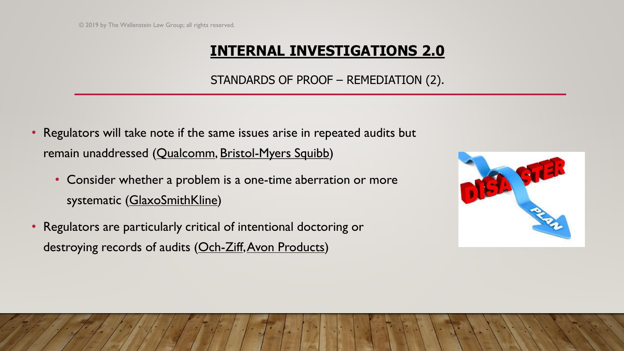#### STANDARDS OF PROOF – REMEDIATION (2).

- Regulators will take note if the same issues arise in repeated audits but remain unaddressed (Qualcomm, Bristol-Myers Squibb)
	- Consider whether a problem is a one-time aberration or more systematic (GlaxoSmithKline)
- Regulators are particularly critical of intentional doctoring or destroying records of audits (Och-Ziff, Avon Products)

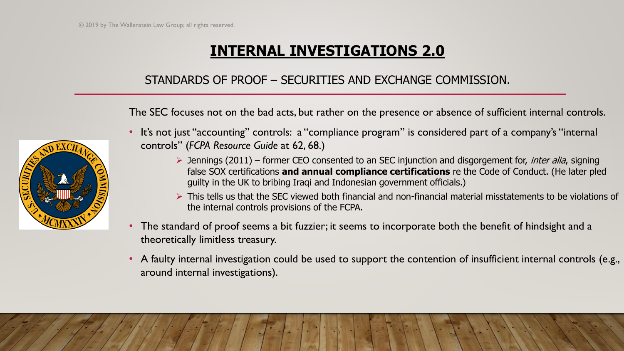#### STANDARDS OF PROOF – SECURITIES AND EXCHANGE COMMISSION.

The SEC focuses not on the bad acts, but rather on the presence or absence of sufficient internal controls.

- 
- It's not just "accounting" controls: a "compliance program" is considered part of a company's "internal controls" (*FCPA Resource Guide* at 62, 68.)
	- $\triangleright$  Jennings (2011) former CEO consented to an SEC injunction and disgorgement for, *inter alia*, signing false SOX certifications **and annual compliance certifications** re the Code of Conduct. (He later pled guilty in the UK to bribing Iraqi and Indonesian government officials.)
	- ➢ This tells us that the SEC viewed both financial and non-financial material misstatements to be violations of the internal controls provisions of the FCPA.
- The standard of proof seems a bit fuzzier; it seems to incorporate both the benefit of hindsight and a theoretically limitless treasury.
- A faulty internal investigation could be used to support the contention of insufficient internal controls (e.g., around internal investigations).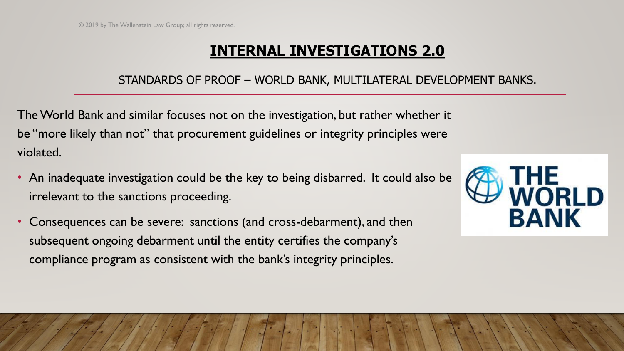#### STANDARDS OF PROOF – WORLD BANK, MULTILATERAL DEVELOPMENT BANKS.

The World Bank and similar focuses not on the investigation, but rather whether it be "more likely than not" that procurement guidelines or integrity principles were violated.

- An inadequate investigation could be the key to being disbarred. It could also be irrelevant to the sanctions proceeding.
- Consequences can be severe: sanctions (and cross-debarment), and then subsequent ongoing debarment until the entity certifies the company's compliance program as consistent with the bank's integrity principles.

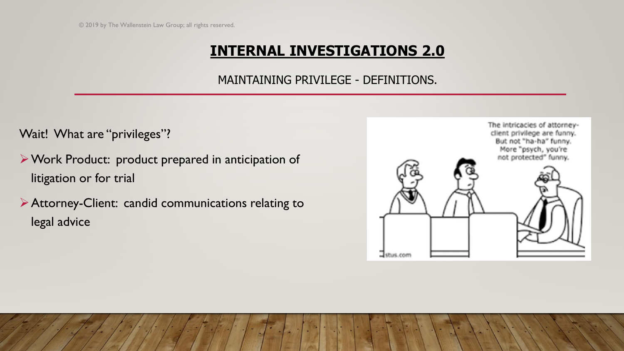#### MAINTAINING PRIVILEGE - DEFINITIONS.

Wait! What are "privileges"?

- ➢Work Product: product prepared in anticipation of litigation or for trial
- ➢Attorney-Client: candid communications relating to legal advice

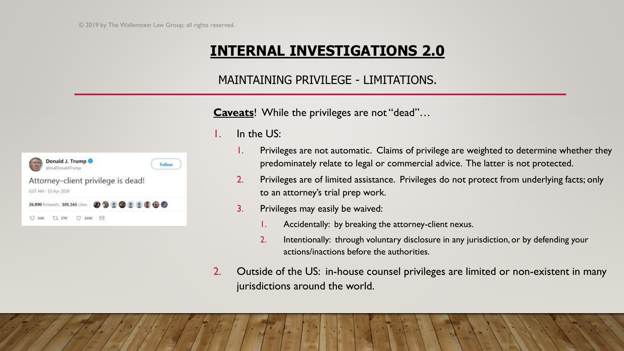#### MAINTAINING PRIVILEGE - LIMITATIONS.

**Caveats**! While the privileges are not "dead"…

| Donald J. Trump<br>@realDonaldTrump                         | Follow   |
|-------------------------------------------------------------|----------|
| Attorney-client privilege is dead!<br>6:07 AM - 10 Apr 2018 |          |
| 26,890 Retweets 105,165 Likes                               | 09999990 |
| T127K<br>105K                                               |          |

1. In the US:

- 1. Privileges are not automatic. Claims of privilege are weighted to determine whether they predominately relate to legal or commercial advice. The latter is not protected.
- 2. Privileges are of limited assistance. Privileges do not protect from underlying facts; only to an attorney's trial prep work.
- 3. Privileges may easily be waived:
	- 1. Accidentally: by breaking the attorney-client nexus.
	- 2. Intentionally: through voluntary disclosure in any jurisdiction, or by defending your actions/inactions before the authorities.
- 2. Outside of the US: in-house counsel privileges are limited or non-existent in many jurisdictions around the world.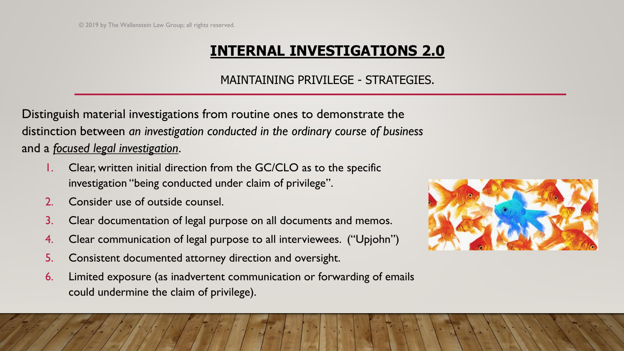#### MAINTAINING PRIVILEGE - STRATEGIES.

Distinguish material investigations from routine ones to demonstrate the distinction between *an investigation conducted in the ordinary course of business* and a *focused legal investigation*.

- 1. Clear, written initial direction from the GC/CLO as to the specific investigation "being conducted under claim of privilege".
- 2. Consider use of outside counsel.
- 3. Clear documentation of legal purpose on all documents and memos.
- 4. Clear communication of legal purpose to all interviewees. ("Upjohn")
- 5. Consistent documented attorney direction and oversight.
- 6. Limited exposure (as inadvertent communication or forwarding of emails could undermine the claim of privilege).

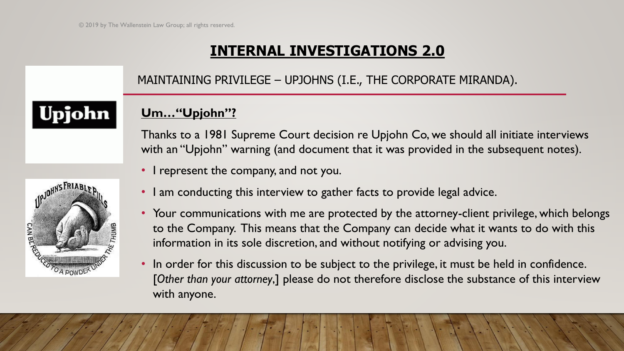MAINTAINING PRIVILEGE – UPJOHNS (I.E., THE CORPORATE MIRANDA).

## Upjohn

#### **Um…"Upjohn"?**

Thanks to a 1981 Supreme Court decision re Upjohn Co, we should all initiate interviews with an "Upjohn" warning (and document that it was provided in the subsequent notes).

• I represent the company, and not you.



- I am conducting this interview to gather facts to provide legal advice.
- Your communications with me are protected by the attorney-client privilege, which belongs to the Company. This means that the Company can decide what it wants to do with this information in its sole discretion, and without notifying or advising you.
- In order for this discussion to be subject to the privilege, it must be held in confidence. [*Other than your attorney*,] please do not therefore disclose the substance of this interview with anyone.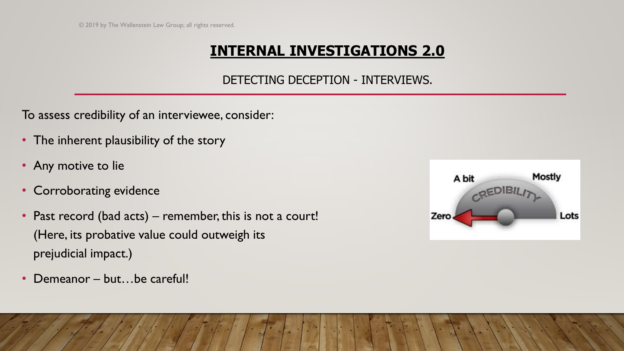#### DETECTING DECEPTION - INTERVIEWS.

To assess credibility of an interviewee, consider:

- The inherent plausibility of the story
- Any motive to lie
- Corroborating evidence
- Past record (bad acts) remember, this is not a court! (Here, its probative value could outweigh its prejudicial impact.)
- Demeanor but...be careful!

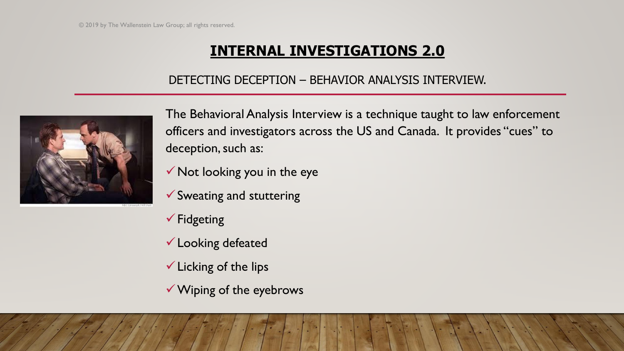#### DETECTING DECEPTION – BEHAVIOR ANALYSIS INTERVIEW.



The Behavioral Analysis Interview is a technique taught to law enforcement officers and investigators across the US and Canada. It provides "cues" to deception, such as:

✓Not looking you in the eye

- ✓Sweating and stuttering
- ✓Fidgeting
- ✓Looking defeated
- $\checkmark$  Licking of the lips
- ✓Wiping of the eyebrows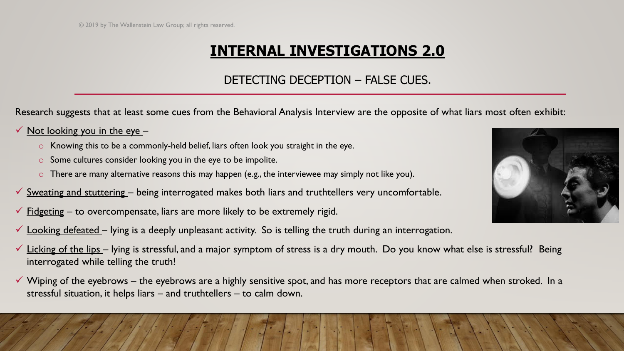#### DETECTING DECEPTION – FALSE CUES.

Research suggests that at least some cues from the Behavioral Analysis Interview are the opposite of what liars most often exhibit:

#### $\checkmark$  Not looking you in the eye –

- o Knowing this to be a commonly-held belief, liars often look you straight in the eye.
- o Some cultures consider looking you in the eye to be impolite.
- o There are many alternative reasons this may happen (e.g., the interviewee may simply not like you).
- $\checkmark$  Sweating and stuttering being interrogated makes both liars and truthtellers very uncomfortable.
- $\checkmark$  Fidgeting to overcompensate, liars are more likely to be extremely rigid.
- $\checkmark$  Looking defeated lying is a deeply unpleasant activity. So is telling the truth during an interrogation.
- $\checkmark$  Licking of the lips lying is stressful, and a major symptom of stress is a dry mouth. Do you know what else is stressful? Being interrogated while telling the truth!
- Wiping of the eyebrows the eyebrows are a highly sensitive spot, and has more receptors that are calmed when stroked. In a stressful situation, it helps liars – and truthtellers – to calm down.

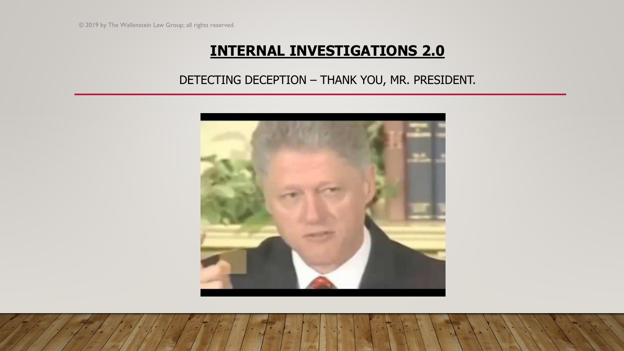#### DETECTING DECEPTION – THANK YOU, MR. PRESIDENT.

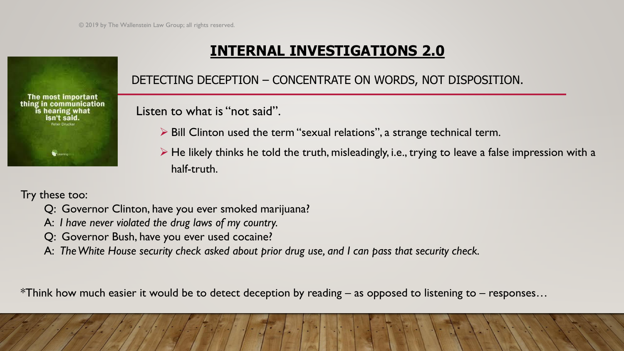#### DETECTING DECEPTION – CONCENTRATE ON WORDS, NOT DISPOSITION.

Listen to what is "not said".

- ➢ Bill Clinton used the term "sexual relations", a strange technical term.
- $\triangleright$  He likely thinks he told the truth, misleadingly, i.e., trying to leave a false impression with a half-truth.

Try these too:

The most important thing in communication is hearing what isn't said

- Q: Governor Clinton, have you ever smoked marijuana?
- A: *I have never violated the drug laws of my country.*
- Q: Governor Bush, have you ever used cocaine?
- A: *The White House security check asked about prior drug use, and I can pass that security check.*

\*Think how much easier it would be to detect deception by reading – as opposed to listening to – responses…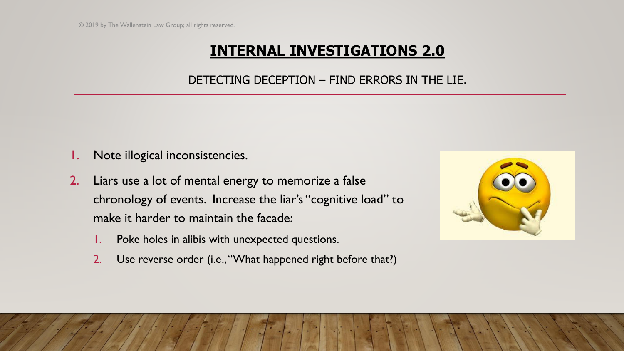#### DETECTING DECEPTION – FIND ERRORS IN THE LIE.

- Note illogical inconsistencies.
- 2. Liars use a lot of mental energy to memorize a false chronology of events. Increase the liar's "cognitive load" to make it harder to maintain the facade:
	- 1. Poke holes in alibis with unexpected questions.
	- 2. Use reverse order (i.e., "What happened right before that?)

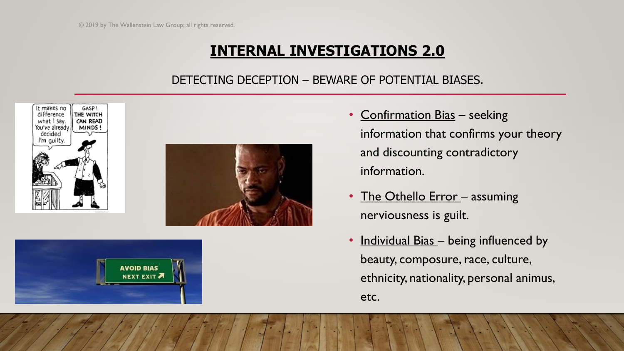#### DETECTING DECEPTION – BEWARE OF POTENTIAL BIASES.







- Confirmation Bias seeking information that confirms your theory and discounting contradictory information.
- The Othello Error assuming nerviousness is guilt.
- Individual Bias being influenced by beauty, composure, race, culture, ethnicity, nationality, personal animus, etc.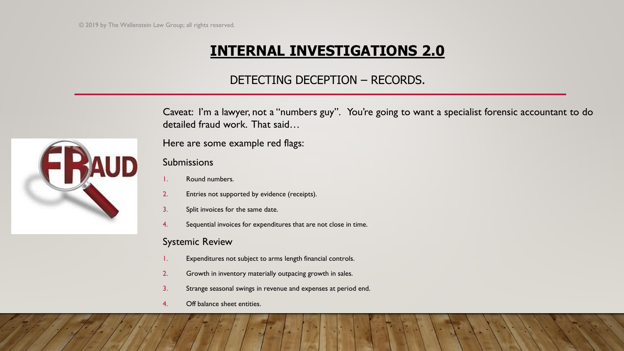#### DETECTING DECEPTION – RECORDS.

Caveat: I'm a lawyer, not a "numbers guy". You're going to want a specialist forensic accountant to do detailed fraud work. That said…

Here are some example red flags:

#### Submissions

- Round numbers.
- 2. Entries not supported by evidence (receipts).
- 3. Split invoices for the same date.
- 4. Sequential invoices for expenditures that are not close in time.

#### Systemic Review

- Expenditures not subject to arms length financial controls.
- 2. Growth in inventory materially outpacing growth in sales.
- 3. Strange seasonal swings in revenue and expenses at period end.
- 4. Off balance sheet entities.

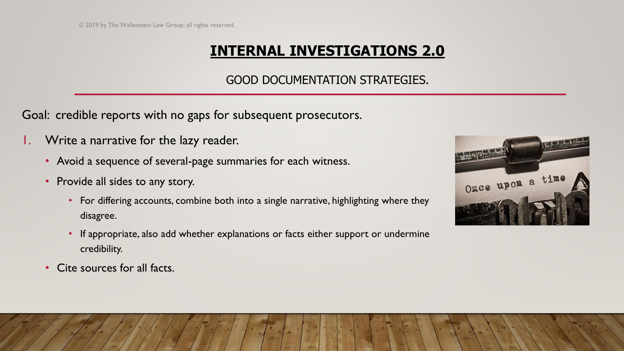#### GOOD DOCUMENTATION STRATEGIES.

Goal: credible reports with no gaps for subsequent prosecutors.

- Write a narrative for the lazy reader.
	- Avoid a sequence of several-page summaries for each witness.
	- Provide all sides to any story.
		- For differing accounts, combine both into a single narrative, highlighting where they disagree.
		- If appropriate, also add whether explanations or facts either support or undermine credibility.
	- Cite sources for all facts.

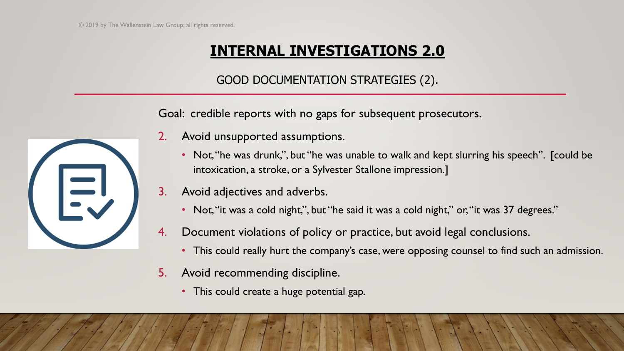#### GOOD DOCUMENTATION STRATEGIES (2).

Goal: credible reports with no gaps for subsequent prosecutors.

- 2. Avoid unsupported assumptions.
	- Not, "he was drunk,", but "he was unable to walk and kept slurring his speech". [could be intoxication, a stroke, or a Sylvester Stallone impression.]
- 3. Avoid adjectives and adverbs.
	- Not, "it was a cold night,", but "he said it was a cold night," or, "it was 37 degrees."
- 4. Document violations of policy or practice, but avoid legal conclusions.
	- This could really hurt the company's case, were opposing counsel to find such an admission.
- 5. Avoid recommending discipline.
	- This could create a huge potential gap.